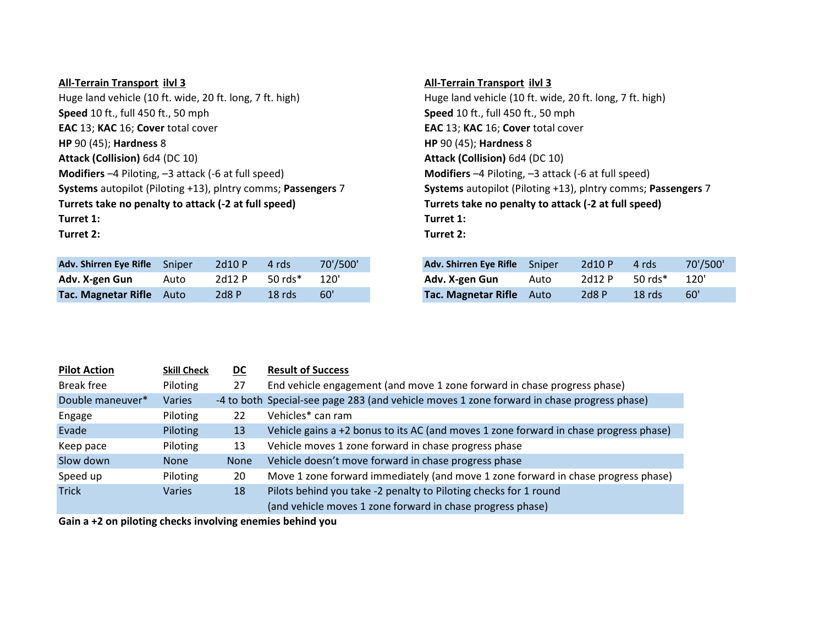## **All-Terrain Transport ilvl 3 All-Terrain Transport ilvl 3** Huge land vehicle (10 ft. wide, 20 ft. long, 7 ft. high) Huge land vehicle (10 ft. wide, 20 ft. long, 7 ft. high) **Speed** 10 ft., full 450 ft., 50 mph **Speed** 10 ft., full 450 ft., 50 mph **EAC** 13; **KAC** 16;**Cover** total cover **EAC** 13; **KAC** 16;**Cover** total cover **HP** 90 (45); **Hardness** 8 **HP** 90 (45); **Hardness** 8 **Attack (Collision)** 6d4 (DC 10) **Attack (Collision)** 6d4 (DC 10) **Modifiers** –4 Piloting, –3 attack (-6 at full speed) **Modifiers** –4 Piloting, –3 attack (-6 at full speed) Turrets take no penalty to attack (-2 at full speed) Turrets take no penalty to attack (-2 at full speed) **Turret 1: Turret 1: Turret 2: Turret 2:**

| Adv. Shirren Eye Rifle Sniper |      | 2d10 P | 4 rds              | 70'/500' |
|-------------------------------|------|--------|--------------------|----------|
| Adv. X-gen Gun                | Auto | 2d12 P | $50 \text{ rds}^*$ | 120'     |
| Tac. Magnetar Rifle Auto      |      | 2d8P   | $18$ rds           | 60'      |

**Systems** autopilot (Piloting +13), plntry comms;**Passengers** 7 **Systems** autopilot (Piloting +13), plntry comms;**Passengers** 7

| Adv. Shirren Eye Rifle Sniper |      | 2d10P  | 4 rds      | 70'/500' | Adv. Shirren Eye Rifle Sniper |      | 2d10 P | 4 rds     | 70'/500' |
|-------------------------------|------|--------|------------|----------|-------------------------------|------|--------|-----------|----------|
| Adv. X-gen Gun                | Auto | 2d12 P | 50 $rds$ * | 120'     | Adv. X-gen Gun                | Auto | 2d12P  | 50 $rds*$ | 120'     |
| Tac. Magnetar Rifle Auto      |      | 2d8P   | $18$ rds   | 60'      | Tac. Magnetar Rifle Auto      |      | 2d8 P  | $18$ rds  | 60'      |

| <b>Pilot Action</b> | <b>Skill Check</b> | <b>DC</b>   | <b>Result of Success</b>                                                                   |
|---------------------|--------------------|-------------|--------------------------------------------------------------------------------------------|
| Break free          | Piloting           | 27          | End vehicle engagement (and move 1 zone forward in chase progress phase)                   |
| Double maneuver*    | Varies             |             | -4 to both Special-see page 283 (and vehicle moves 1 zone forward in chase progress phase) |
| Engage              | Piloting           | 22          | Vehicles* can ram                                                                          |
| Evade               | Piloting           | 13          | Vehicle gains a +2 bonus to its AC (and moves 1 zone forward in chase progress phase)      |
| Keep pace           | Piloting           | 13          | Vehicle moves 1 zone forward in chase progress phase                                       |
| Slow down           | <b>None</b>        | <b>None</b> | Vehicle doesn't move forward in chase progress phase                                       |
| Speed up            | Piloting           | 20          | Move 1 zone forward immediately (and move 1 zone forward in chase progress phase)          |
| <b>Trick</b>        | Varies             | 18          | Pilots behind you take -2 penalty to Piloting checks for 1 round                           |
|                     |                    |             | (and vehicle moves 1 zone forward in chase progress phase)                                 |

**Gain a +2 on piloting checks involving enemies behind you**